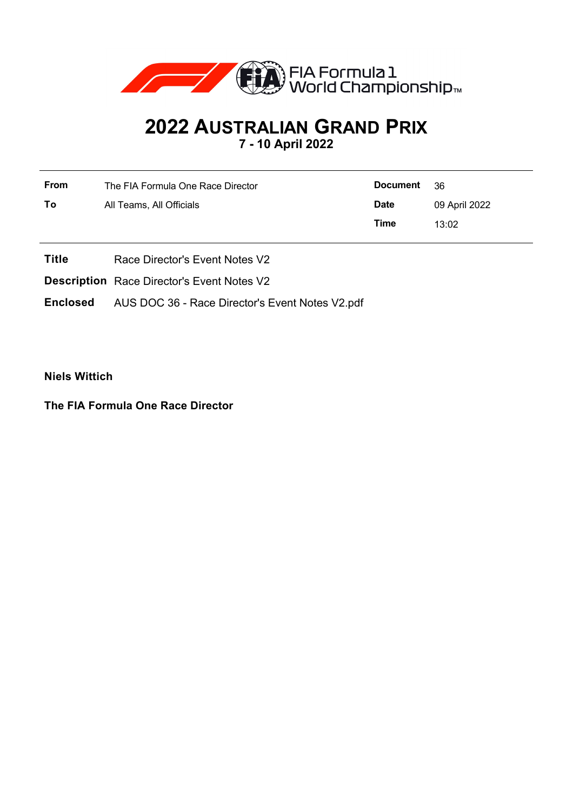

# **2022 AUSTRALIAN GRAND PRIX**

**7 - 10 April 2022**

| <b>Document</b>                                               | - 36          |
|---------------------------------------------------------------|---------------|
| <b>Date</b>                                                   | 09 April 2022 |
| Time                                                          | 13:02         |
| The FIA Formula One Race Director<br>All Teams, All Officials |               |

- **Title** Race Director's Event Notes V2
- **Description** Race Director's Event Notes V2

**Enclosed** AUS DOC 36 - Race Director's Event Notes V2.pdf

**Niels Wittich**

**The FIA Formula One Race Director**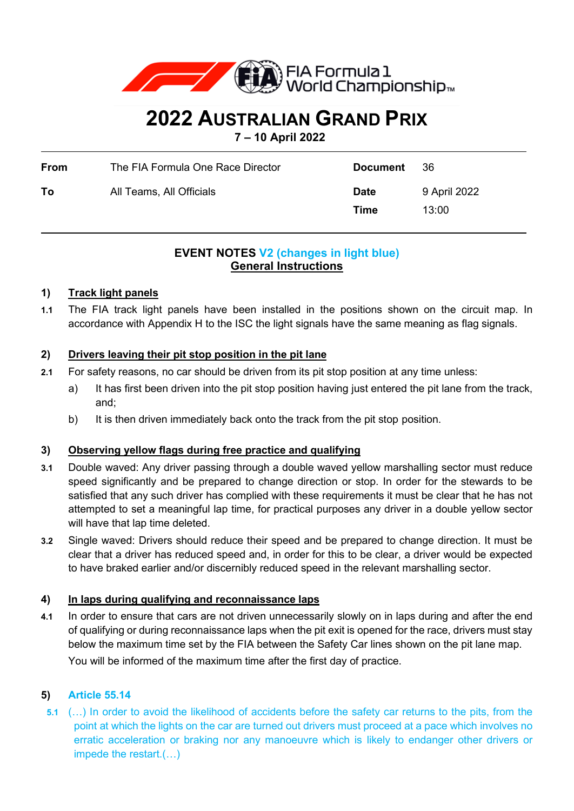

## **2022 AUSTRALIAN GRAND PRIX**

**7 – 10 April 2022**

| From | The FIA Formula One Race Director | <b>Document</b>     | -36                   |
|------|-----------------------------------|---------------------|-----------------------|
| To   | All Teams, All Officials          | <b>Date</b><br>Time | 9 April 2022<br>13:00 |

## **EVENT NOTES V2 (changes in light blue) General Instructions**

## **1) Track light panels**

**1.1** The FIA track light panels have been installed in the positions shown on the circuit map. In accordance with Appendix H to the ISC the light signals have the same meaning as flag signals.

## **2) Drivers leaving their pit stop position in the pit lane**

- **2.1** For safety reasons, no car should be driven from its pit stop position at any time unless:
	- a) It has first been driven into the pit stop position having just entered the pit lane from the track, and;
	- b) It is then driven immediately back onto the track from the pit stop position.

## **3) Observing yellow flags during free practice and qualifying**

- **3.1** Double waved: Any driver passing through a double waved yellow marshalling sector must reduce speed significantly and be prepared to change direction or stop. In order for the stewards to be satisfied that any such driver has complied with these requirements it must be clear that he has not attempted to set a meaningful lap time, for practical purposes any driver in a double yellow sector will have that lap time deleted.
- **3.2** Single waved: Drivers should reduce their speed and be prepared to change direction. It must be clear that a driver has reduced speed and, in order for this to be clear, a driver would be expected to have braked earlier and/or discernibly reduced speed in the relevant marshalling sector.

## **4) In laps during qualifying and reconnaissance laps**

**4.1** In order to ensure that cars are not driven unnecessarily slowly on in laps during and after the end of qualifying or during reconnaissance laps when the pit exit is opened for the race, drivers must stay below the maximum time set by the FIA between the Safety Car lines shown on the pit lane map. You will be informed of the maximum time after the first day of practice.

## **5) Article 55.14**

**5.1** (…) In order to avoid the likelihood of accidents before the safety car returns to the pits, from the point at which the lights on the car are turned out drivers must proceed at a pace which involves no erratic acceleration or braking nor any manoeuvre which is likely to endanger other drivers or impede the restart.(…)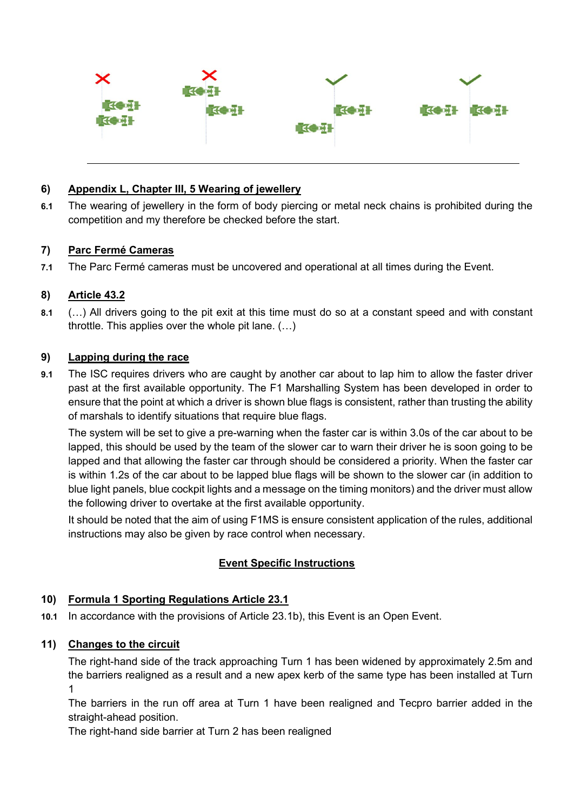

#### **6) Appendix L, Chapter III, 5 Wearing of jewellery**

**6.1** The wearing of jewellery in the form of body piercing or metal neck chains is prohibited during the competition and my therefore be checked before the start.

#### **7) Parc Fermé Cameras**

**7.1** The Parc Fermé cameras must be uncovered and operational at all times during the Event.

## **8) Article 43.2**

**8.1** (…) All drivers going to the pit exit at this time must do so at a constant speed and with constant throttle. This applies over the whole pit lane. (…)

#### **9) Lapping during the race**

**9.1** The ISC requires drivers who are caught by another car about to lap him to allow the faster driver past at the first available opportunity. The F1 Marshalling System has been developed in order to ensure that the point at which a driver is shown blue flags is consistent, rather than trusting the ability of marshals to identify situations that require blue flags.

The system will be set to give a pre-warning when the faster car is within 3.0s of the car about to be lapped, this should be used by the team of the slower car to warn their driver he is soon going to be lapped and that allowing the faster car through should be considered a priority. When the faster car is within 1.2s of the car about to be lapped blue flags will be shown to the slower car (in addition to blue light panels, blue cockpit lights and a message on the timing monitors) and the driver must allow the following driver to overtake at the first available opportunity.

It should be noted that the aim of using F1MS is ensure consistent application of the rules, additional instructions may also be given by race control when necessary.

## **Event Specific Instructions**

#### **10) Formula 1 Sporting Regulations Article 23.1**

**10.1** In accordance with the provisions of Article 23.1b), this Event is an Open Event.

#### **11) Changes to the circuit**

The right-hand side of the track approaching Turn 1 has been widened by approximately 2.5m and the barriers realigned as a result and a new apex kerb of the same type has been installed at Turn 1

The barriers in the run off area at Turn 1 have been realigned and Tecpro barrier added in the straight-ahead position.

The right-hand side barrier at Turn 2 has been realigned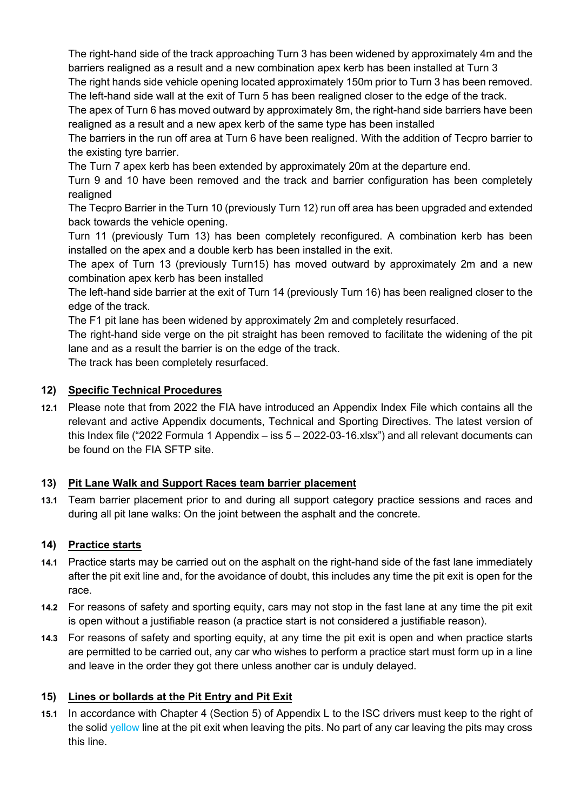The right-hand side of the track approaching Turn 3 has been widened by approximately 4m and the barriers realigned as a result and a new combination apex kerb has been installed at Turn 3

The right hands side vehicle opening located approximately 150m prior to Turn 3 has been removed. The left-hand side wall at the exit of Turn 5 has been realigned closer to the edge of the track.

The apex of Turn 6 has moved outward by approximately 8m, the right-hand side barriers have been realigned as a result and a new apex kerb of the same type has been installed

The barriers in the run off area at Turn 6 have been realigned. With the addition of Tecpro barrier to the existing tyre barrier.

The Turn 7 apex kerb has been extended by approximately 20m at the departure end.

Turn 9 and 10 have been removed and the track and barrier configuration has been completely realigned

The Tecpro Barrier in the Turn 10 (previously Turn 12) run off area has been upgraded and extended back towards the vehicle opening.

Turn 11 (previously Turn 13) has been completely reconfigured. A combination kerb has been installed on the apex and a double kerb has been installed in the exit.

The apex of Turn 13 (previously Turn15) has moved outward by approximately 2m and a new combination apex kerb has been installed

The left-hand side barrier at the exit of Turn 14 (previously Turn 16) has been realigned closer to the edge of the track.

The F1 pit lane has been widened by approximately 2m and completely resurfaced.

The right-hand side verge on the pit straight has been removed to facilitate the widening of the pit lane and as a result the barrier is on the edge of the track.

The track has been completely resurfaced.

#### **12) Specific Technical Procedures**

**12.1** Please note that from 2022 the FIA have introduced an Appendix Index File which contains all the relevant and active Appendix documents, Technical and Sporting Directives. The latest version of this Index file ("2022 Formula 1 Appendix – iss 5 – 2022-03-16.xlsx") and all relevant documents can be found on the FIA SFTP site.

#### **13) Pit Lane Walk and Support Races team barrier placement**

**13.1** Team barrier placement prior to and during all support category practice sessions and races and during all pit lane walks: On the joint between the asphalt and the concrete.

#### **14) Practice starts**

- **14.1** Practice starts may be carried out on the asphalt on the right-hand side of the fast lane immediately after the pit exit line and, for the avoidance of doubt, this includes any time the pit exit is open for the race.
- **14.2** For reasons of safety and sporting equity, cars may not stop in the fast lane at any time the pit exit is open without a justifiable reason (a practice start is not considered a justifiable reason).
- **14.3** For reasons of safety and sporting equity, at any time the pit exit is open and when practice starts are permitted to be carried out, any car who wishes to perform a practice start must form up in a line and leave in the order they got there unless another car is unduly delayed.

#### **15) Lines or bollards at the Pit Entry and Pit Exit**

**15.1** In accordance with Chapter 4 (Section 5) of Appendix L to the ISC drivers must keep to the right of the solid yellow line at the pit exit when leaving the pits. No part of any car leaving the pits may cross this line.